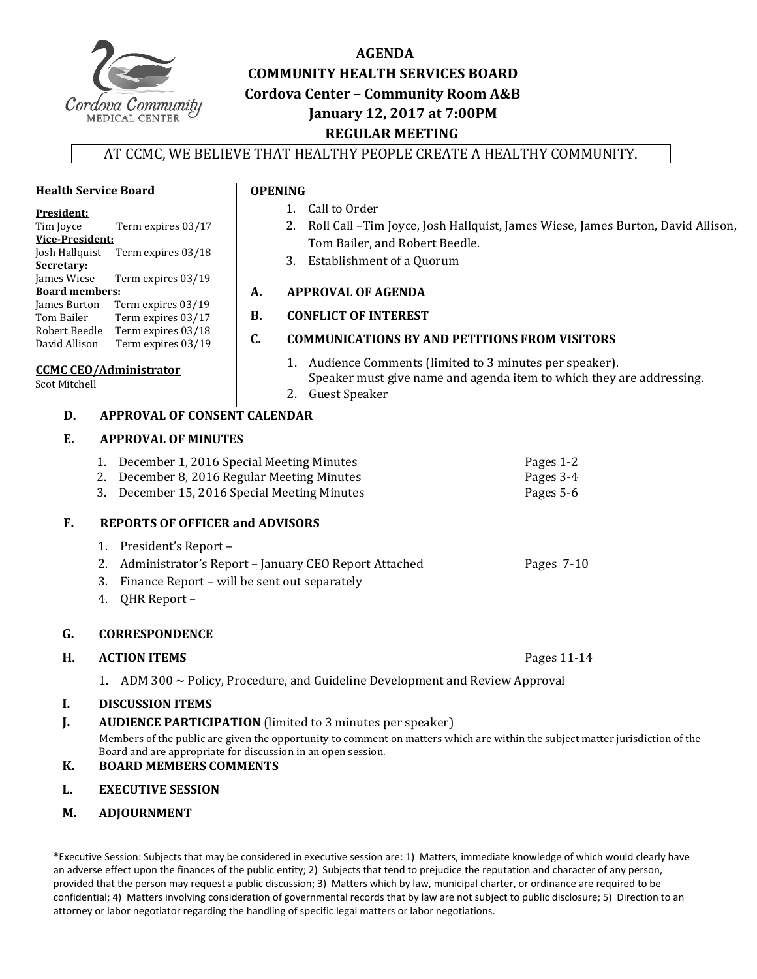

# **AGENDA COMMUNITY HEALTH SERVICES BOARD Cordova Center – Community Room A&B January 12, 2017 at 7:00PM REGULAR MEETING**

# AT CCMC, WE BELIEVE THAT HEALTHY PEOPLE CREATE A HEALTHY COMMUNITY.

## **Health Service Board**

#### **President:**

| Tim Joyce              | Term expires 03/17 |  |  |
|------------------------|--------------------|--|--|
| <b>Vice-President:</b> |                    |  |  |
| Josh Hallquist         | Term expires 03/18 |  |  |
| Secretary:             |                    |  |  |
| James Wiese            | Term expires 03/19 |  |  |
| <b>Board members:</b>  |                    |  |  |
| James Burton           | Term expires 03/19 |  |  |
| Tom Bailer             | Term expires 03/17 |  |  |
| Robert Beedle          | Term expires 03/18 |  |  |
| David Allison          | Term expires 03/19 |  |  |
|                        |                    |  |  |

#### **CCMC CEO/Administrator**

**Scot Mitchell** 

- 1. Call to Order
- 2. Roll Call -Tim Joyce, Josh Hallquist, James Wiese, James Burton, David Allison,
- Tom Bailer, and Robert Beedle.
- 3. Establishment of a Quorum

# **A. APPROVAL OF AGENDA**

# **B. CONFLICT OF INTEREST**

# **C. COMMUNICATIONS BY AND PETITIONS FROM VISITORS**

- 1. Audience Comments (limited to 3 minutes per speaker). Speaker must give name and agenda item to which they are addressing.
- 2. Guest Speaker

# **D. APPROVAL OF CONSENT CALENDAR**

# **E. APPROVAL OF MINUTES**

| 1. December 1, 2016 Special Meeting Minutes  | Pages 1-2 |
|----------------------------------------------|-----------|
| 2. December 8, 2016 Regular Meeting Minutes  | Pages 3-4 |
| 3. December 15, 2016 Special Meeting Minutes | Pages 5-6 |

# **F.** REPORTS OF OFFICER and ADVISORS

- 1. President's Report -
- 2. Administrator's Report January CEO Report Attached Pages 7-10
- 3. Finance Report will be sent out separately
- 4. QHR Report -

# G. **CORRESPONDENCE**

# **H. ACTION ITEMS**  Pages 11‐14

1. ADM  $300 \sim$  Policy, Procedure, and Guideline Development and Review Approval

# **I. DISCUSSION ITEMS**

**J. AUDIENCE PARTICIPATION** (limited to 3 minutes per speaker)

Members of the public are given the opportunity to comment on matters which are within the subject matter jurisdiction of the Board and are appropriate for discussion in an open session.

- **K. BOARD MEMBERS COMMENTS**
- **L. EXECUTIVE SESSION**
- **M. ADJOURNMENT**

\*Executive Session: Subjects that may be considered in executive session are: 1) Matters, immediate knowledge of which would clearly have an adverse effect upon the finances of the public entity; 2) Subjects that tend to prejudice the reputation and character of any person, provided that the person may request a public discussion; 3) Matters which by law, municipal charter, or ordinance are required to be confidential; 4) Matters involving consideration of governmental records that by law are not subject to public disclosure; 5) Direction to an attorney or labor negotiator regarding the handling of specific legal matters or labor negotiations.

**OPENING**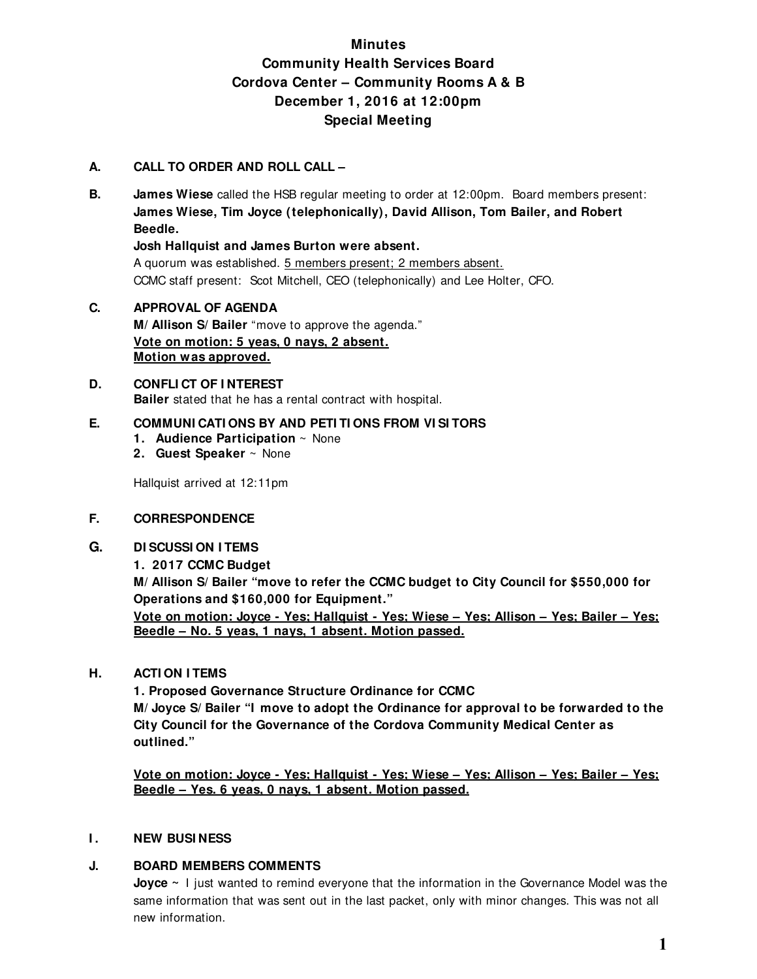# **Minutes Community Health Services Board Cordova Center – Community Rooms A & B December 1, 2016 at 12:00pm Special Meeting**

# **A. CALL TO ORDER AND ROLL CALL –**

**B. James Wiese** called the HSB regular meeting to order at 12:00pm. Board members present: **James Wiese, Tim Joyce (telephonically), David Allison, Tom Bailer, and Robert Beedle.** 

**Josh Hallquist and James Burton were absent.** 

A quorum was established. 5 members present; 2 members absent. CCMC staff present: Scot Mitchell, CEO (telephonically) and Lee Holter, CFO.

**C. APPROVAL OF AGENDA M/ Allison S/ Bailer** "move to approve the agenda." **Vote on motion: 5 yeas, 0 nays, 2 absent. Motion was approved.**

#### **D. CONFLI CT OF I NTEREST Bailer** stated that he has a rental contract with hospital.

### **E. COMMUNI CATI ONS BY AND PETI TI ONS FROM VI SI TORS**

- **1. Audience Participation** ~ None
- **2. Guest Speaker** ~ None

Hallquist arrived at 12:11pm

#### **F. CORRESPONDENCE**

- **G. DI SCUSSI ON I TEMS** 
	- **1. 2017 CCMC Budget**

**M/ Allison S/ Bailer "move to refer the CCMC budget to City Council for \$550,000 for Operations and \$160,000 for Equipment."** 

**Vote on motion: Joyce - Yes; Hallquist - Yes; Wiese – Yes; Allison – Yes; Bailer – Yes; Beedle – No. 5 yeas, 1 nays, 1 absent. Motion passed.**

#### **H. ACTI ON I TEMS**

**1. Proposed Governance Structure Ordinance for CCMC M/ Joyce S/ Bailer "I move to adopt the Ordinance for approval to be forwarded to the City Council for the Governance of the Cordova Community Medical Center as outlined."** 

**Vote on motion: Joyce - Yes; Hallquist - Yes; Wiese – Yes; Allison – Yes; Bailer – Yes; Beedle – Yes. 6 yeas, 0 nays, 1 absent. Motion passed.**

#### **I.** NEW BUSINESS

# **J. BOARD MEMBERS COMMENTS**

**Joyce ~** I just wanted to remind everyone that the information in the Governance Model was the same information that was sent out in the last packet, only with minor changes. This was not all new information.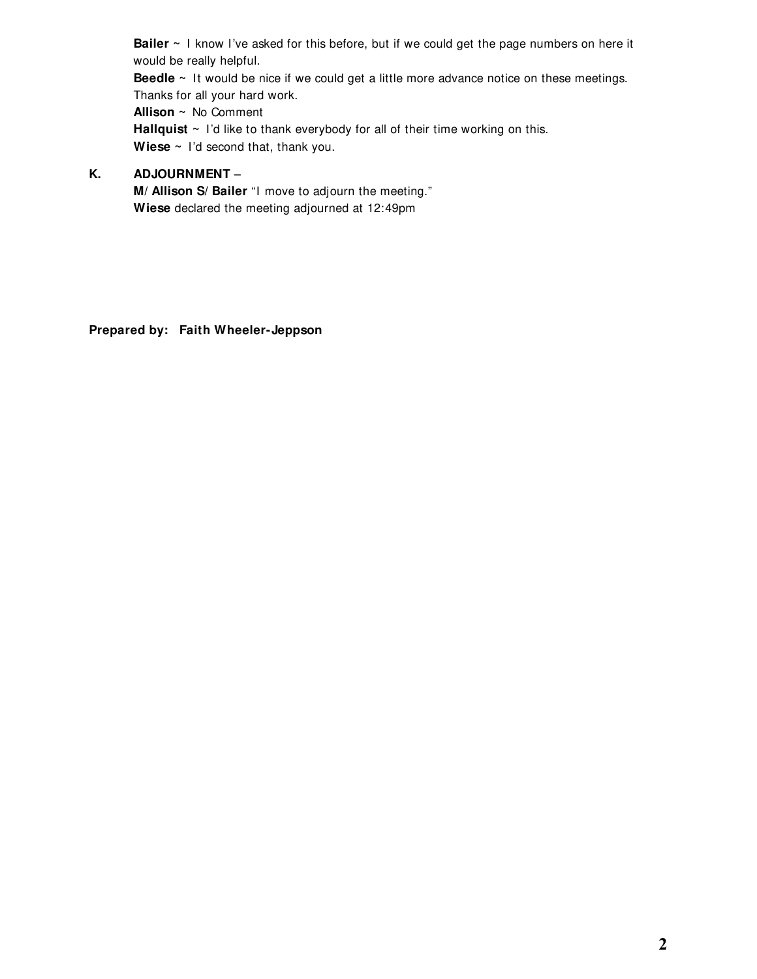**Bailer ~** I know I've asked for this before, but if we could get the page numbers on here it would be really helpful.

**Beedle** ~ It would be nice if we could get a little more advance notice on these meetings. Thanks for all your hard work.

**Allison ~** No Comment **Hallquist** ~ I'd like to thank everybody for all of their time working on this. Wiese ~ I'd second that, thank you.

# **K. ADJOURNMENT** –

**M/ Allison S/ Bailer** "I move to adjourn the meeting." **Wiese** declared the meeting adjourned at 12:49pm

**Prepared by: Faith Wheeler-Jeppson**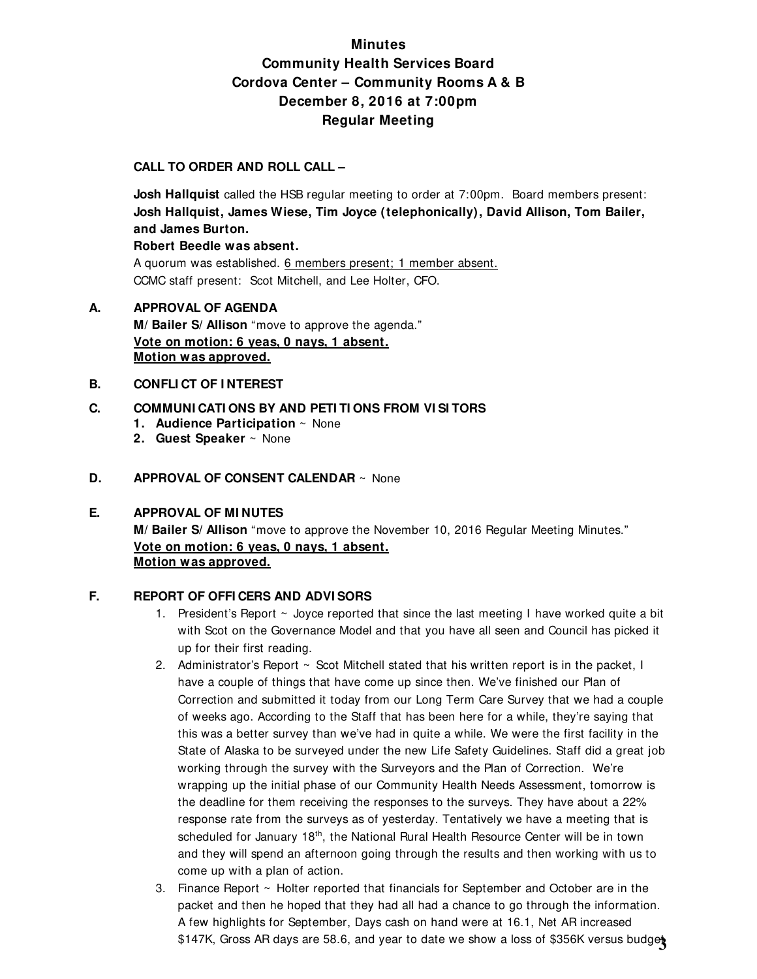# **Minutes Community Health Services Board Cordova Center – Community Rooms A & B December 8, 2016 at 7:00pm Regular Meeting**

### **CALL TO ORDER AND ROLL CALL –**

**Josh Hallquist** called the HSB regular meeting to order at 7:00pm. Board members present: **Josh Hallquist, James Wiese, Tim Joyce (telephonically), David Allison, Tom Bailer, and James Burton.** 

#### **Robert Beedle was absent.**

A quorum was established. 6 members present; 1 member absent. CCMC staff present: Scot Mitchell, and Lee Holter, CFO.

# **A. APPROVAL OF AGENDA M/ Bailer S/ Allison** "move to approve the agenda." **Vote on motion: 6 yeas, 0 nays, 1 absent. Motion was approved.**

#### **B. CONFLI CT OF I NTEREST**

### **C. COMMUNI CATI ONS BY AND PETI TI ONS FROM VI SI TORS**

- **1. Audience Participation** ~ None
- **2. Guest Speaker** ~ None

### **D. APPROVAL OF CONSENT CALENDAR** ~ None

#### **E. APPROVAL OF MI NUTES**

**M/ Bailer S/ Allison** "move to approve the November 10, 2016 Regular Meeting Minutes." **Vote on motion: 6 yeas, 0 nays, 1 absent. Motion was approved.**

#### **F. REPORT OF OFFI CERS AND ADVI SORS**

- 1. President's Report ~ Joyce reported that since the last meeting I have worked quite a bit with Scot on the Governance Model and that you have all seen and Council has picked it up for their first reading.
- 2. Administrator's Report  $\sim$  Scot Mitchell stated that his written report is in the packet, I have a couple of things that have come up since then. We've finished our Plan of Correction and submitted it today from our Long Term Care Survey that we had a couple of weeks ago. According to the Staff that has been here for a while, they're saying that this was a better survey than we've had in quite a while. We were the first facility in the State of Alaska to be surveyed under the new Life Safety Guidelines. Staff did a great job working through the survey with the Surveyors and the Plan of Correction. We're wrapping up the initial phase of our Community Health Needs Assessment, tomorrow is the deadline for them receiving the responses to the surveys. They have about a 22% response rate from the surveys as of yesterday. Tentatively we have a meeting that is scheduled for January 18<sup>th</sup>, the National Rural Health Resource Center will be in town and they will spend an afternoon going through the results and then working with us to come up with a plan of action.
- 3. Finance Report ~ Holter reported that financials for September and October are in the packet and then he hoped that they had all had a chance to go through the information. A few highlights for September, Days cash on hand were at 16.1, Net AR increased \$147K, Gross AR days are 58.6, and year to date we show a loss of \$356K versus budget **3**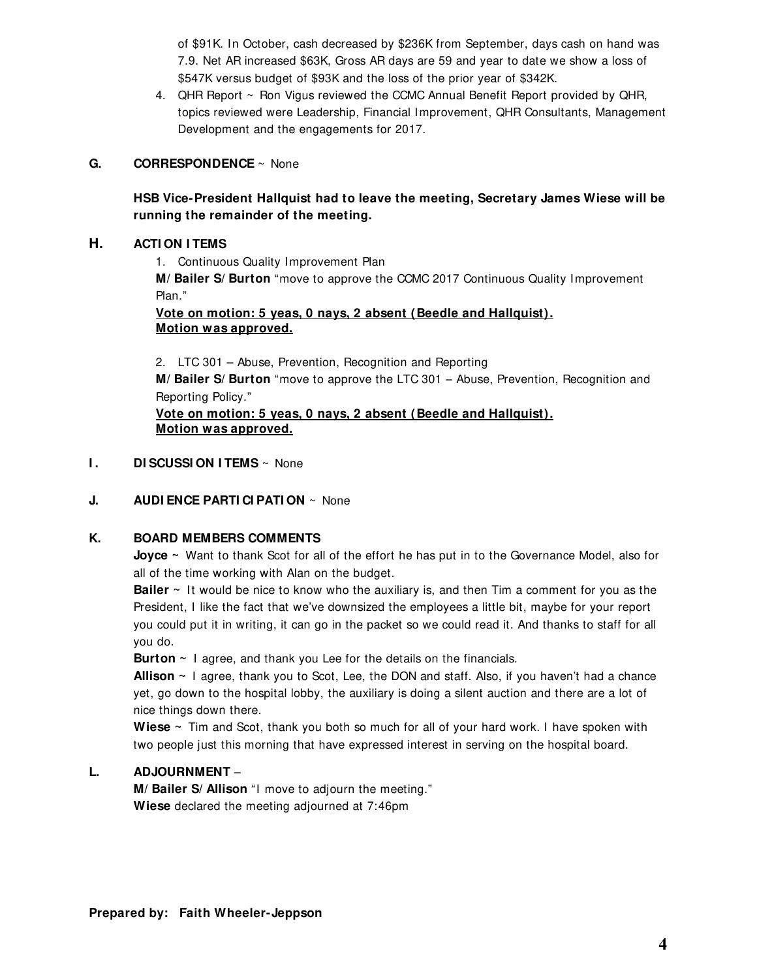of \$91K. In October, cash decreased by \$236K from September, days cash on hand was 7.9. Net AR increased \$63K, Gross AR days are 59 and year to date we show a loss of \$547K versus budget of \$93K and the loss of the prior year of \$342K.

4. QHR Report ~ Ron Vigus reviewed the CCMC Annual Benefit Report provided by QHR, topics reviewed were Leadership, Financial Improvement, QHR Consultants, Management Development and the engagements for 2017.

#### **G. CORRESPONDENCE** ~ None

# **HSB Vice-President Hallquist had to leave the meeting, Secretary James Wiese will be running the remainder of the meeting.**

#### **H. ACTI ON I TEMS**

1. Continuous Quality Improvement Plan

**M/ Bailer S/ Burton** "move to approve the CCMC 2017 Continuous Quality Improvement Plan."

### **Vote on motion: 5 yeas, 0 nays, 2 absent (Beedle and Hallquist). Motion was approved.**

2. LTC 301 – Abuse, Prevention, Recognition and Reporting

**M/ Bailer S/ Burton** "move to approve the LTC 301 – Abuse, Prevention, Recognition and Reporting Policy."

**Vote on motion: 5 yeas, 0 nays, 2 absent (Beedle and Hallquist). Motion was approved.**

#### **I. DI SCUSSI ON I TEMS**  $\sim$  None

#### **J. AUDI ENCE PARTI CI PATI ON** ~ None

#### **K. BOARD MEMBERS COMMENTS**

**Joyce ~** Want to thank Scot for all of the effort he has put in to the Governance Model, also for all of the time working with Alan on the budget.

**Bailer** ~ It would be nice to know who the auxiliary is, and then Tim a comment for you as the President, I like the fact that we've downsized the employees a little bit, maybe for your report you could put it in writing, it can go in the packet so we could read it. And thanks to staff for all you do.

**Burton ~** I agree, and thank you Lee for the details on the financials.

**Allison ~** I agree, thank you to Scot, Lee, the DON and staff. Also, if you haven't had a chance yet, go down to the hospital lobby, the auxiliary is doing a silent auction and there are a lot of nice things down there.

**Wiese ~** Tim and Scot, thank you both so much for all of your hard work. I have spoken with two people just this morning that have expressed interest in serving on the hospital board.

#### **L. ADJOURNMENT** –

**M/ Bailer S/ Allison** "I move to adjourn the meeting." **Wiese** declared the meeting adjourned at 7:46pm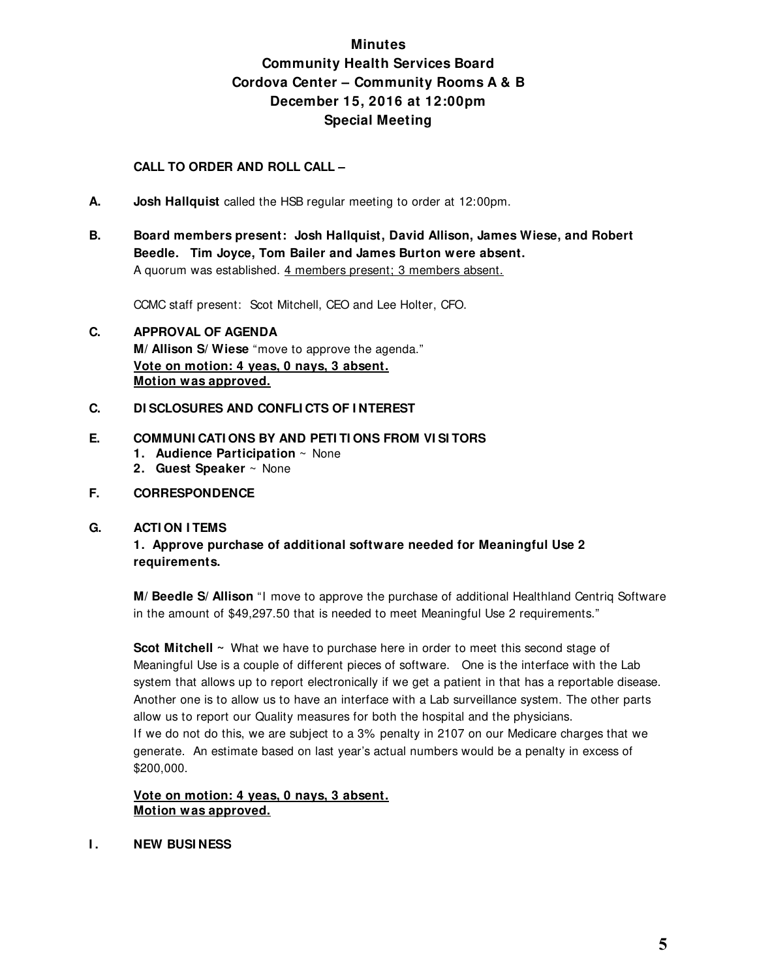# **Minutes Community Health Services Board Cordova Center – Community Rooms A & B December 15, 2016 at 12:00pm Special Meeting**

## **CALL TO ORDER AND ROLL CALL –**

- **A. Josh Hallquist** called the HSB regular meeting to order at 12:00pm.
- **B. Board members present: Josh Hallquist, David Allison, James Wiese, and Robert Beedle. Tim Joyce, Tom Bailer and James Burton were absent.**  A quorum was established. 4 members present; 3 members absent.

CCMC staff present: Scot Mitchell, CEO and Lee Holter, CFO.

- **C. APPROVAL OF AGENDA M/ Allison S/ Wiese** "move to approve the agenda." **Vote on motion: 4 yeas, 0 nays, 3 absent. Motion was approved.**
- **C. DI SCLOSURES AND CONFLI CTS OF I NTEREST**

#### **E. COMMUNI CATI ONS BY AND PETI TI ONS FROM VI SI TORS**

- **1. Audience Participation** ~ None
- **2. Guest Speaker** ~ None

#### **F. CORRESPONDENCE**

#### **G. ACTI ON I TEMS**

**1. Approve purchase of additional software needed for Meaningful Use 2 requirements.** 

**M/ Beedle S/ Allison** "I move to approve the purchase of additional Healthland Centriq Software in the amount of \$49,297.50 that is needed to meet Meaningful Use 2 requirements."

**Scot Mitchell ~** What we have to purchase here in order to meet this second stage of Meaningful Use is a couple of different pieces of software. One is the interface with the Lab system that allows up to report electronically if we get a patient in that has a reportable disease. Another one is to allow us to have an interface with a Lab surveillance system. The other parts allow us to report our Quality measures for both the hospital and the physicians. If we do not do this, we are subject to a 3% penalty in 2107 on our Medicare charges that we generate. An estimate based on last year's actual numbers would be a penalty in excess of \$200,000.

#### **Vote on motion: 4 yeas, 0 nays, 3 absent. Motion was approved.**

**I . NEW BUSI NESS**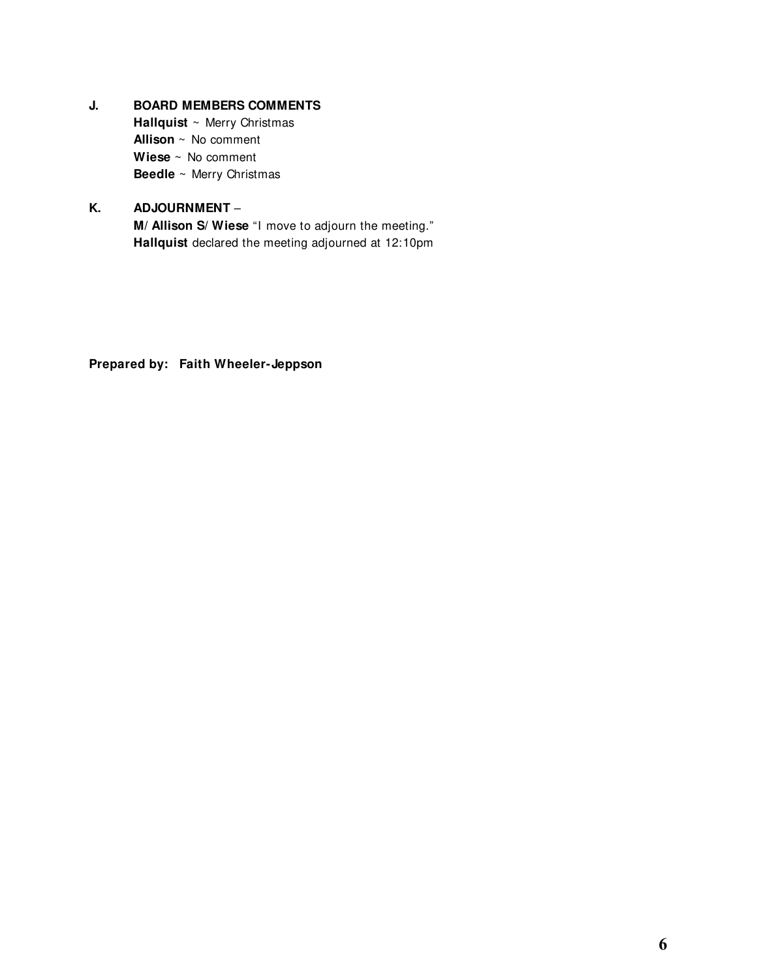# **J. BOARD MEMBERS COMMENTS**

 **Hallquist** ~ Merry Christmas **Allison** ~ No comment **Wiese** ~ No comment **Beedle** ~ Merry Christmas

# **K. ADJOURNMENT** –

**M/ Allison S/ Wiese** "I move to adjourn the meeting." **Hallquist** declared the meeting adjourned at 12:10pm

**Prepared by: Faith Wheeler-Jeppson**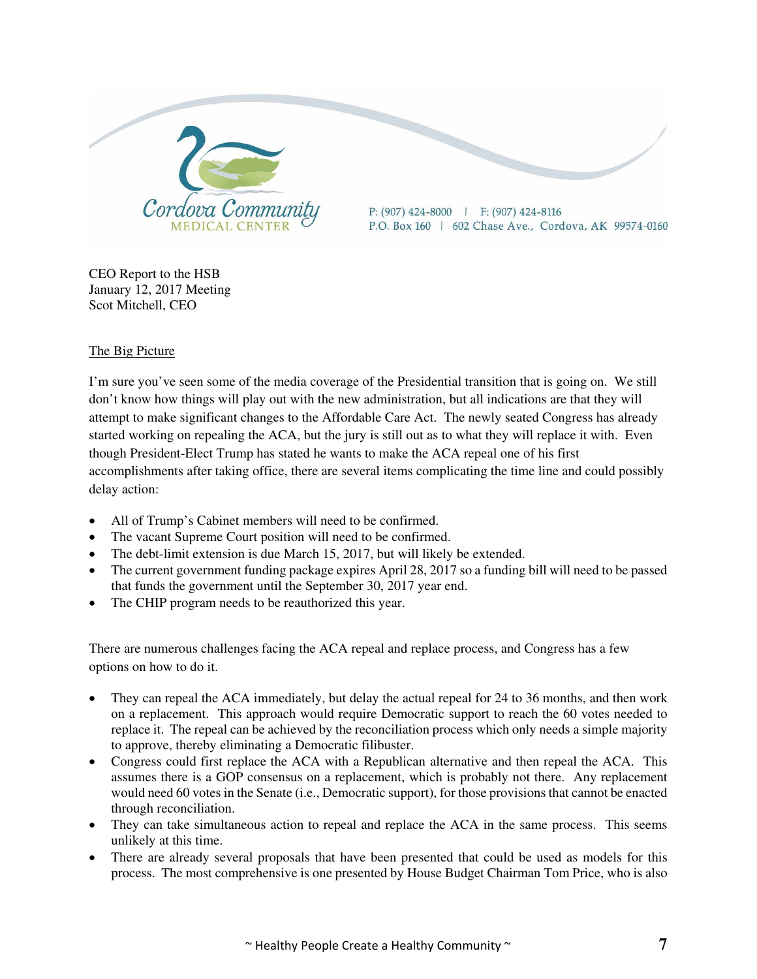

CEO Report to the HSB January 12, 2017 Meeting Scot Mitchell, CEO

# The Big Picture

I'm sure you've seen some of the media coverage of the Presidential transition that is going on. We still don't know how things will play out with the new administration, but all indications are that they will attempt to make significant changes to the Affordable Care Act. The newly seated Congress has already started working on repealing the ACA, but the jury is still out as to what they will replace it with. Even though President-Elect Trump has stated he wants to make the ACA repeal one of his first accomplishments after taking office, there are several items complicating the time line and could possibly delay action:

- All of Trump's Cabinet members will need to be confirmed.
- The vacant Supreme Court position will need to be confirmed.
- The debt-limit extension is due March 15, 2017, but will likely be extended.
- The current government funding package expires April 28, 2017 so a funding bill will need to be passed that funds the government until the September 30, 2017 year end.
- The CHIP program needs to be reauthorized this year.

There are numerous challenges facing the ACA repeal and replace process, and Congress has a few options on how to do it.

- They can repeal the ACA immediately, but delay the actual repeal for 24 to 36 months, and then work on a replacement. This approach would require Democratic support to reach the 60 votes needed to replace it. The repeal can be achieved by the reconciliation process which only needs a simple majority to approve, thereby eliminating a Democratic filibuster.
- Congress could first replace the ACA with a Republican alternative and then repeal the ACA. This assumes there is a GOP consensus on a replacement, which is probably not there. Any replacement would need 60 votes in the Senate (i.e., Democratic support), for those provisions that cannot be enacted through reconciliation.
- They can take simultaneous action to repeal and replace the ACA in the same process. This seems unlikely at this time.
- There are already several proposals that have been presented that could be used as models for this process. The most comprehensive is one presented by House Budget Chairman Tom Price, who is also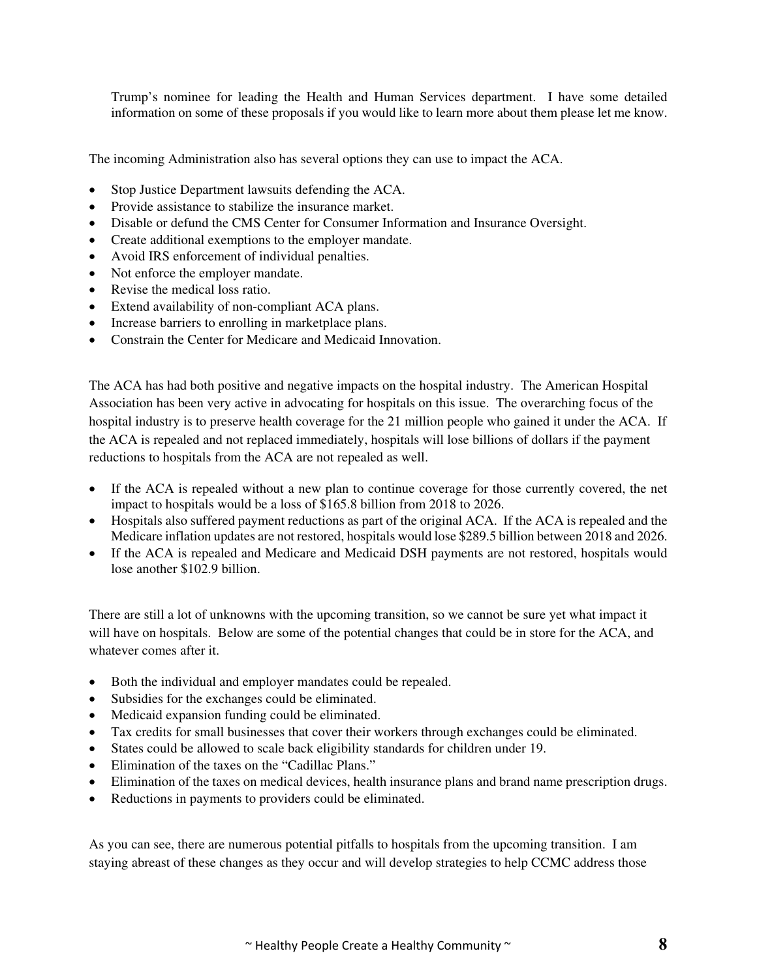Trump's nominee for leading the Health and Human Services department. I have some detailed information on some of these proposals if you would like to learn more about them please let me know.

The incoming Administration also has several options they can use to impact the ACA.

- Stop Justice Department lawsuits defending the ACA.
- Provide assistance to stabilize the insurance market.
- Disable or defund the CMS Center for Consumer Information and Insurance Oversight.
- Create additional exemptions to the employer mandate.
- Avoid IRS enforcement of individual penalties.
- Not enforce the employer mandate.
- Revise the medical loss ratio.
- Extend availability of non-compliant ACA plans.
- Increase barriers to enrolling in marketplace plans.
- Constrain the Center for Medicare and Medicaid Innovation.

The ACA has had both positive and negative impacts on the hospital industry. The American Hospital Association has been very active in advocating for hospitals on this issue. The overarching focus of the hospital industry is to preserve health coverage for the 21 million people who gained it under the ACA. If the ACA is repealed and not replaced immediately, hospitals will lose billions of dollars if the payment reductions to hospitals from the ACA are not repealed as well.

- If the ACA is repealed without a new plan to continue coverage for those currently covered, the net impact to hospitals would be a loss of \$165.8 billion from 2018 to 2026.
- Hospitals also suffered payment reductions as part of the original ACA. If the ACA is repealed and the Medicare inflation updates are not restored, hospitals would lose \$289.5 billion between 2018 and 2026.
- If the ACA is repealed and Medicare and Medicaid DSH payments are not restored, hospitals would lose another \$102.9 billion.

There are still a lot of unknowns with the upcoming transition, so we cannot be sure yet what impact it will have on hospitals. Below are some of the potential changes that could be in store for the ACA, and whatever comes after it.

- Both the individual and employer mandates could be repealed.
- Subsidies for the exchanges could be eliminated.
- Medicaid expansion funding could be eliminated.
- Tax credits for small businesses that cover their workers through exchanges could be eliminated.
- States could be allowed to scale back eligibility standards for children under 19.
- Elimination of the taxes on the "Cadillac Plans."
- Elimination of the taxes on medical devices, health insurance plans and brand name prescription drugs.
- Reductions in payments to providers could be eliminated.

As you can see, there are numerous potential pitfalls to hospitals from the upcoming transition. I am staying abreast of these changes as they occur and will develop strategies to help CCMC address those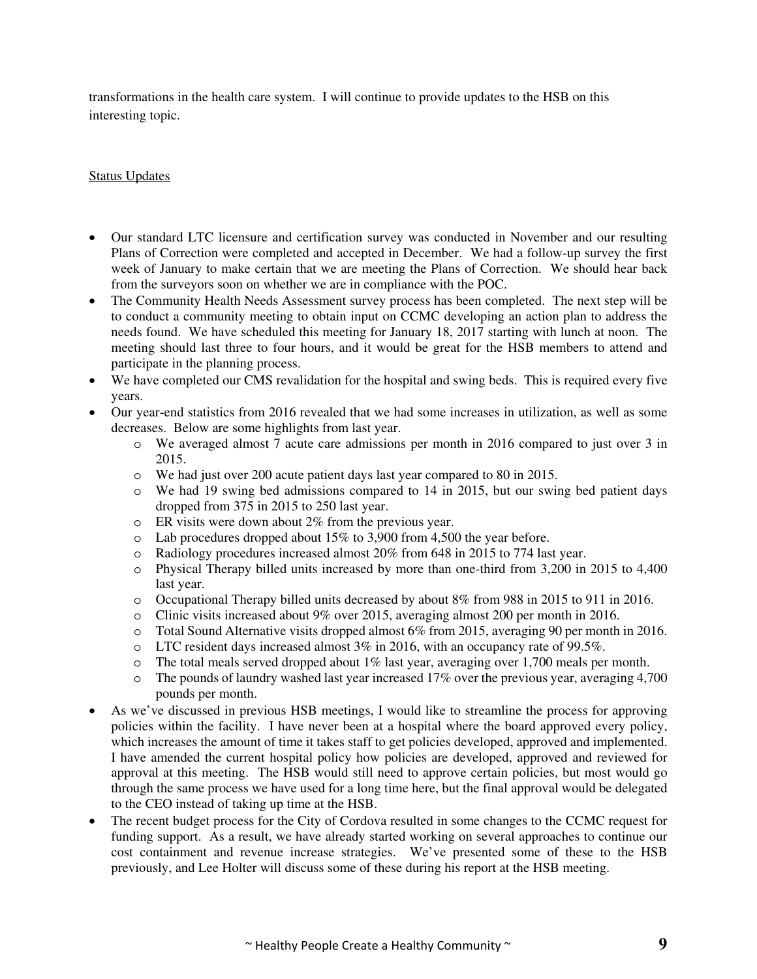transformations in the health care system. I will continue to provide updates to the HSB on this interesting topic.

#### Status Updates

- Our standard LTC licensure and certification survey was conducted in November and our resulting Plans of Correction were completed and accepted in December. We had a follow-up survey the first week of January to make certain that we are meeting the Plans of Correction. We should hear back from the surveyors soon on whether we are in compliance with the POC.
- The Community Health Needs Assessment survey process has been completed. The next step will be to conduct a community meeting to obtain input on CCMC developing an action plan to address the needs found. We have scheduled this meeting for January 18, 2017 starting with lunch at noon. The meeting should last three to four hours, and it would be great for the HSB members to attend and participate in the planning process.
- We have completed our CMS revalidation for the hospital and swing beds. This is required every five years.
- Our year-end statistics from 2016 revealed that we had some increases in utilization, as well as some decreases. Below are some highlights from last year.
	- o We averaged almost 7 acute care admissions per month in 2016 compared to just over 3 in 2015.
	- o We had just over 200 acute patient days last year compared to 80 in 2015.
	- o We had 19 swing bed admissions compared to 14 in 2015, but our swing bed patient days dropped from 375 in 2015 to 250 last year.
	- o ER visits were down about 2% from the previous year.
	- o Lab procedures dropped about 15% to 3,900 from 4,500 the year before.
	- o Radiology procedures increased almost 20% from 648 in 2015 to 774 last year.
	- o Physical Therapy billed units increased by more than one-third from 3,200 in 2015 to 4,400 last year.
	- o Occupational Therapy billed units decreased by about 8% from 988 in 2015 to 911 in 2016.
	- o Clinic visits increased about 9% over 2015, averaging almost 200 per month in 2016.
	- o Total Sound Alternative visits dropped almost 6% from 2015, averaging 90 per month in 2016.
	- o LTC resident days increased almost 3% in 2016, with an occupancy rate of 99.5%.
	- o The total meals served dropped about 1% last year, averaging over 1,700 meals per month.
	- o The pounds of laundry washed last year increased 17% over the previous year, averaging 4,700 pounds per month.
- As we've discussed in previous HSB meetings, I would like to streamline the process for approving policies within the facility. I have never been at a hospital where the board approved every policy, which increases the amount of time it takes staff to get policies developed, approved and implemented. I have amended the current hospital policy how policies are developed, approved and reviewed for approval at this meeting. The HSB would still need to approve certain policies, but most would go through the same process we have used for a long time here, but the final approval would be delegated to the CEO instead of taking up time at the HSB.
- The recent budget process for the City of Cordova resulted in some changes to the CCMC request for funding support. As a result, we have already started working on several approaches to continue our cost containment and revenue increase strategies. We've presented some of these to the HSB previously, and Lee Holter will discuss some of these during his report at the HSB meeting.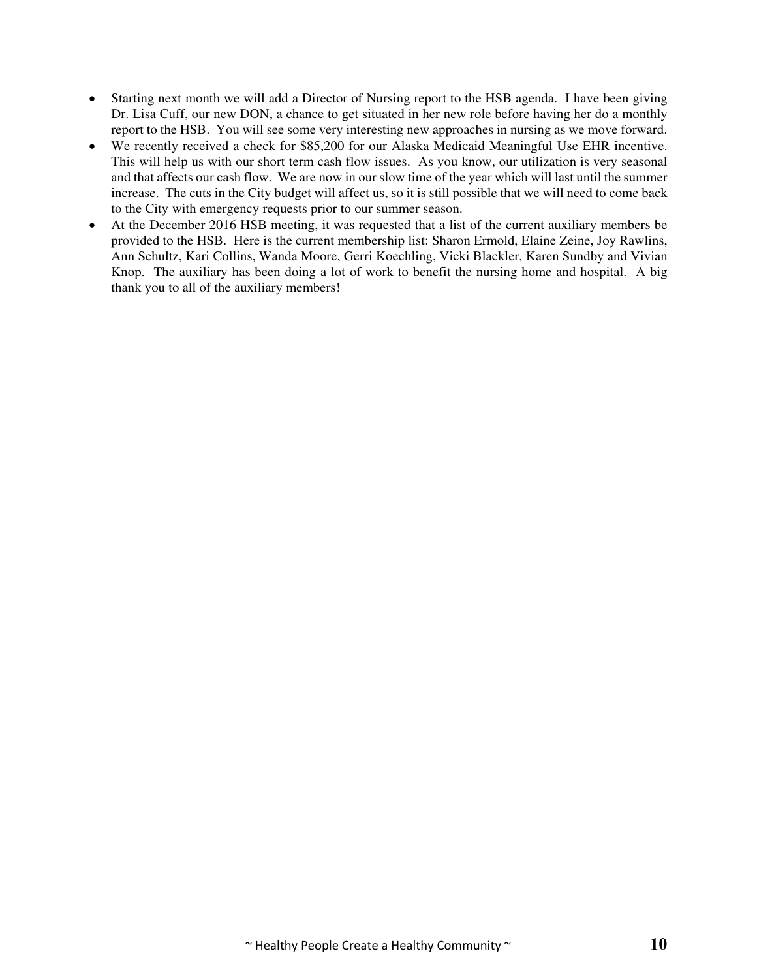- Starting next month we will add a Director of Nursing report to the HSB agenda. I have been giving Dr. Lisa Cuff, our new DON, a chance to get situated in her new role before having her do a monthly report to the HSB. You will see some very interesting new approaches in nursing as we move forward.
- We recently received a check for \$85,200 for our Alaska Medicaid Meaningful Use EHR incentive. This will help us with our short term cash flow issues. As you know, our utilization is very seasonal and that affects our cash flow. We are now in our slow time of the year which will last until the summer increase. The cuts in the City budget will affect us, so it is still possible that we will need to come back to the City with emergency requests prior to our summer season.
- At the December 2016 HSB meeting, it was requested that a list of the current auxiliary members be provided to the HSB. Here is the current membership list: Sharon Ermold, Elaine Zeine, Joy Rawlins, Ann Schultz, Kari Collins, Wanda Moore, Gerri Koechling, Vicki Blackler, Karen Sundby and Vivian Knop. The auxiliary has been doing a lot of work to benefit the nursing home and hospital. A big thank you to all of the auxiliary members!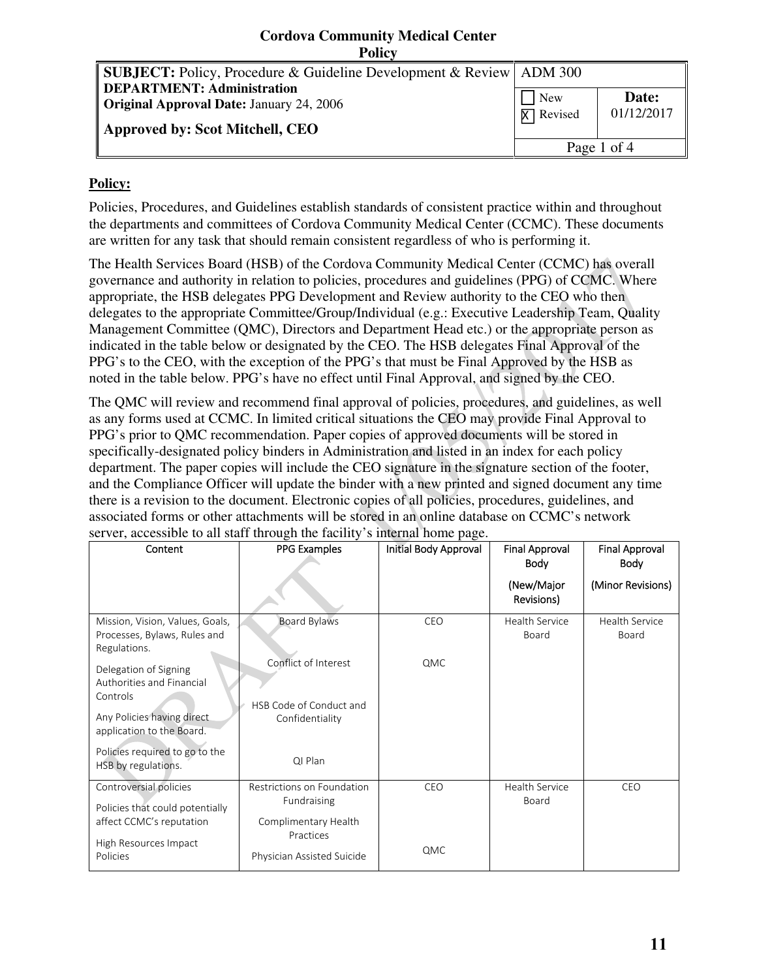## **Cordova Community Medical Center Policy**

| <b>SUBJECT:</b> Policy, Procedure & Guideline Development & Review ADM 300 |                  |             |
|----------------------------------------------------------------------------|------------------|-------------|
| <b>DEPARTMENT: Administration</b>                                          | <b>New</b>       | Date:       |
| Original Approval Date: January 24, 2006                                   | <b>X</b> Revised | 01/12/2017  |
| Approved by: Scot Mitchell, CEO                                            |                  |             |
|                                                                            |                  | Page 1 of 4 |

# **Policy:**

Policies, Procedures, and Guidelines establish standards of consistent practice within and throughout the departments and committees of Cordova Community Medical Center (CCMC). These documents are written for any task that should remain consistent regardless of who is performing it.

The Health Services Board (HSB) of the Cordova Community Medical Center (CCMC) has overall governance and authority in relation to policies, procedures and guidelines (PPG) of CCMC. Where appropriate, the HSB delegates PPG Development and Review authority to the CEO who then delegates to the appropriate Committee/Group/Individual (e.g.: Executive Leadership Team, Quality Management Committee (QMC), Directors and Department Head etc.) or the appropriate person as indicated in the table below or designated by the CEO. The HSB delegates Final Approval of the PPG's to the CEO, with the exception of the PPG's that must be Final Approved by the HSB as noted in the table below. PPG's have no effect until Final Approval, and signed by the CEO.

The QMC will review and recommend final approval of policies, procedures, and guidelines, as well as any forms used at CCMC. In limited critical situations the CEO may provide Final Approval to PPG's prior to QMC recommendation. Paper copies of approved documents will be stored in specifically-designated policy binders in Administration and listed in an index for each policy department. The paper copies will include the CEO signature in the signature section of the footer, and the Compliance Officer will update the binder with a new printed and signed document any time there is a revision to the document. Electronic copies of all policies, procedures, guidelines, and associated forms or other attachments will be stored in an online database on CCMC's network server, accessible to all staff through the facility's internal home page.

| Content                                                                         | PPG Examples                               | Initial Body Approval | <b>Final Approval</b><br>Body  | <b>Final Approval</b><br><b>Body</b> |
|---------------------------------------------------------------------------------|--------------------------------------------|-----------------------|--------------------------------|--------------------------------------|
|                                                                                 |                                            |                       | (New/Major<br>Revisions)       | (Minor Revisions)                    |
| Mission, Vision, Values, Goals,<br>Processes, Bylaws, Rules and<br>Regulations. | Board Bylaws                               | CEO                   | <b>Health Service</b><br>Board | Health Service<br>Board              |
| Delegation of Signing<br>Authorities and Financial<br>Controls                  | Conflict of Interest                       | QMC                   |                                |                                      |
| Any Policies having direct<br>application to the Board.                         | HSB Code of Conduct and<br>Confidentiality |                       |                                |                                      |
| Policies required to go to the<br>HSB by regulations.                           | QI Plan                                    |                       |                                |                                      |
| Controversial policies                                                          | Restrictions on Foundation<br>Fundraising  | CEO                   | <b>Health Service</b><br>Board | CEO                                  |
| Policies that could potentially<br>affect CCMC's reputation                     | Complimentary Health<br>Practices          |                       |                                |                                      |
| High Resources Impact<br>Policies                                               | Physician Assisted Suicide                 | QMC                   |                                |                                      |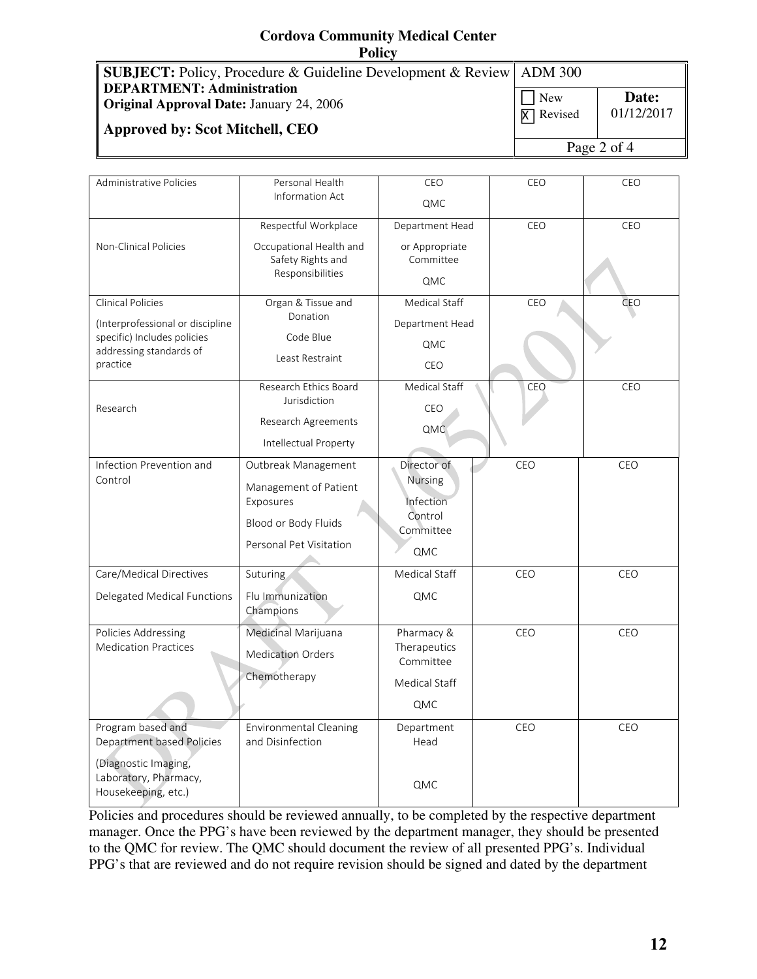# **Cordova Community Medical Center Policy**

| <b>SUBJECT:</b> Policy, Procedure & Guideline Development & Review   ADM 300 |                  |             |
|------------------------------------------------------------------------------|------------------|-------------|
| DEPARTMENT: Administration                                                   | <b>New</b>       | Date:       |
| <b>Original Approval Date: January 24, 2006</b>                              |                  |             |
| Approved by: Scot Mitchell, CEO                                              | <b>X</b> Revised | 01/12/2017  |
|                                                                              |                  | Page 2 of 4 |

| Administrative Policies                                              | Personal Health                                   | CEO                       | CEO | CEO |
|----------------------------------------------------------------------|---------------------------------------------------|---------------------------|-----|-----|
|                                                                      | Information Act                                   | QMC                       |     |     |
|                                                                      | Respectful Workplace                              | Department Head           | CEO | CEO |
| Non-Clinical Policies                                                | Occupational Health and                           | or Appropriate            |     |     |
|                                                                      | Safety Rights and<br>Responsibilities             | Committee                 |     |     |
|                                                                      |                                                   | QMC                       |     |     |
| <b>Clinical Policies</b>                                             | Organ & Tissue and<br>Donation                    | Medical Staff             | CEO | CEO |
| (Interprofessional or discipline<br>specific) Includes policies      | Code Blue                                         | Department Head           |     |     |
| addressing standards of                                              |                                                   | QMC                       |     |     |
| practice                                                             | Least Restraint                                   | CEO                       |     |     |
|                                                                      | Research Ethics Board                             | Medical Staff             | CEO | CEO |
| Research                                                             | Jurisdiction                                      | CEO                       |     |     |
|                                                                      | Research Agreements                               | QMC                       |     |     |
|                                                                      | Intellectual Property                             |                           |     |     |
| Infection Prevention and                                             | Outbreak Management                               | Director of               | CEO | CEO |
| Control                                                              | Management of Patient                             | Nursing                   |     |     |
|                                                                      | Exposures                                         | Infection<br>Control      |     |     |
|                                                                      | Blood or Body Fluids                              | Committee                 |     |     |
|                                                                      | Personal Pet Visitation                           | QMC                       |     |     |
| Care/Medical Directives                                              | Suturing                                          | Medical Staff             | CEO | CEO |
| Delegated Medical Functions                                          | Flu Immunization<br>Champions                     | QMC                       |     |     |
| Policies Addressing                                                  | Medicinal Marijuana                               | Pharmacy &                | CEO | CEO |
| <b>Medication Practices</b>                                          | <b>Medication Orders</b>                          | Therapeutics<br>Committee |     |     |
|                                                                      | Chemotherapy                                      | Medical Staff             |     |     |
|                                                                      |                                                   | QMC                       |     |     |
| Program based and<br>Department based Policies                       | <b>Environmental Cleaning</b><br>and Disinfection | Department<br>Head        | CEO | CEO |
| (Diagnostic Imaging,<br>Laboratory, Pharmacy,<br>Housekeeping, etc.) |                                                   | QMC                       |     |     |

Policies and procedures should be reviewed annually, to be completed by the respective department manager. Once the PPG's have been reviewed by the department manager, they should be presented to the QMC for review. The QMC should document the review of all presented PPG's. Individual PPG's that are reviewed and do not require revision should be signed and dated by the department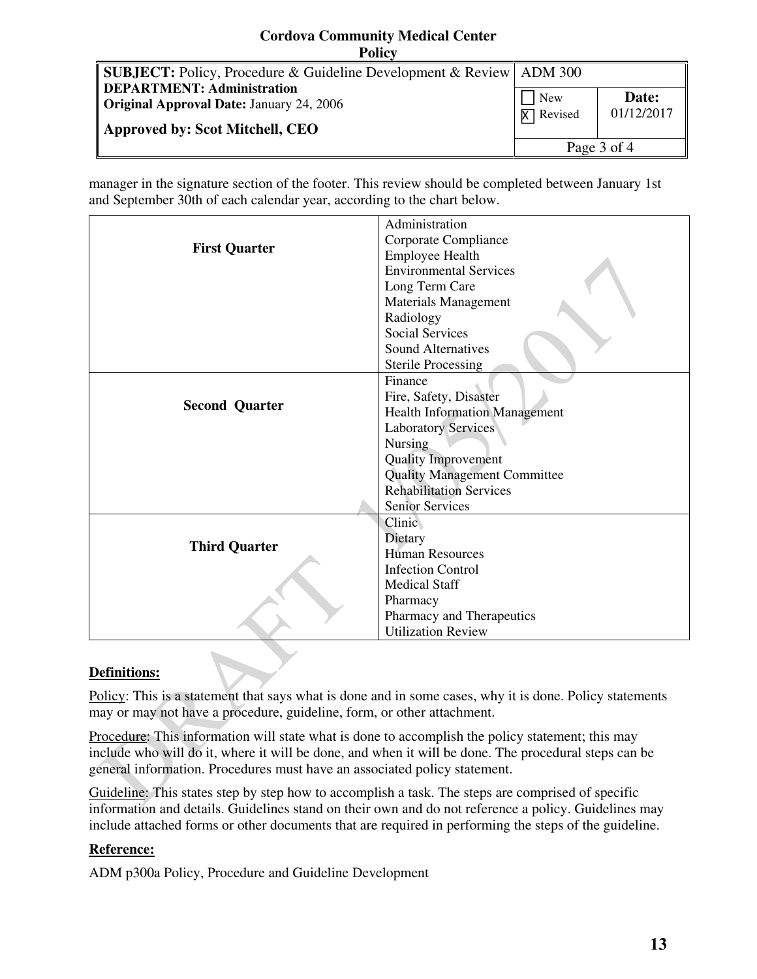#### **Cordova Community Medical Center Policy SUBJECT:** Policy, Procedure & Guideline Development & Review **DEPARTMENT: Administration Original Approval Date:** January 24, 2006 **Approved by: Scot Mitchell, CEO** ADM 300 New **X** Revised **Date:**  01/12/2017 Page 3 of 4

manager in the signature section of the footer. This review should be completed between January 1st and September 30th of each calendar year, according to the chart below.

|                       | Administration                       |
|-----------------------|--------------------------------------|
| <b>First Quarter</b>  | Corporate Compliance                 |
|                       | <b>Employee Health</b>               |
|                       | <b>Environmental Services</b>        |
|                       | Long Term Care                       |
|                       | <b>Materials Management</b>          |
|                       | Radiology                            |
|                       | <b>Social Services</b>               |
|                       | <b>Sound Alternatives</b>            |
|                       | <b>Sterile Processing</b>            |
|                       | Finance                              |
| <b>Second Quarter</b> | Fire, Safety, Disaster               |
|                       | <b>Health Information Management</b> |
|                       | <b>Laboratory Services</b>           |
|                       | <b>Nursing</b>                       |
|                       | <b>Quality Improvement</b>           |
|                       | <b>Quality Management Committee</b>  |
|                       | <b>Rehabilitation Services</b>       |
|                       | <b>Senior Services</b>               |
|                       | Clinic                               |
| <b>Third Quarter</b>  | Dietary                              |
|                       | <b>Human Resources</b>               |
|                       | <b>Infection Control</b>             |
|                       | <b>Medical Staff</b>                 |
|                       | Pharmacy                             |
|                       | Pharmacy and Therapeutics            |
|                       | <b>Utilization Review</b>            |

# **Definitions:**

Policy: This is a statement that says what is done and in some cases, why it is done. Policy statements may or may not have a procedure, guideline, form, or other attachment.

Procedure: This information will state what is done to accomplish the policy statement; this may include who will do it, where it will be done, and when it will be done. The procedural steps can be general information. Procedures must have an associated policy statement.

Guideline: This states step by step how to accomplish a task. The steps are comprised of specific information and details. Guidelines stand on their own and do not reference a policy. Guidelines may include attached forms or other documents that are required in performing the steps of the guideline.

# **Reference:**

ADM p300a Policy, Procedure and Guideline Development